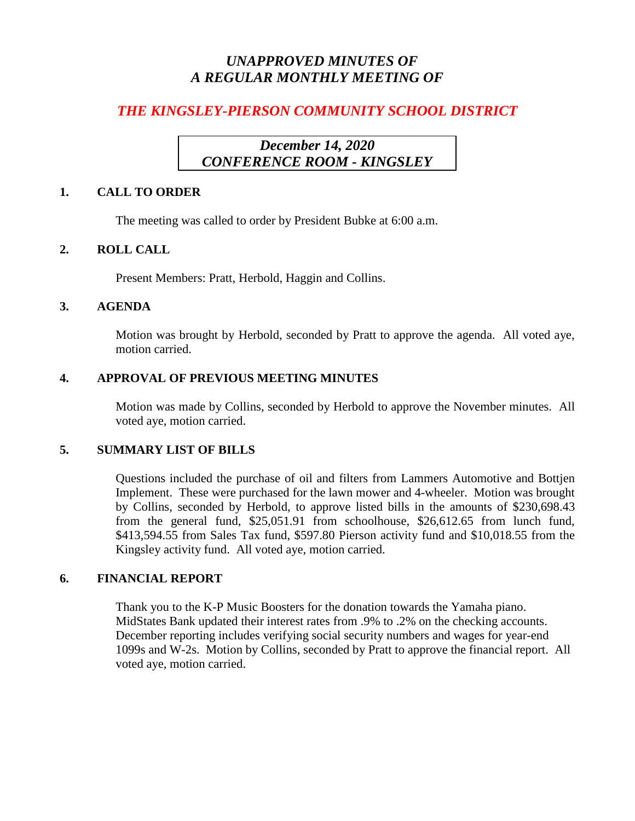# *UNAPPROVED MINUTES OF A REGULAR MONTHLY MEETING OF*

# *THE KINGSLEY-PIERSON COMMUNITY SCHOOL DISTRICT*

# *December 14, 2020 CONFERENCE ROOM - KINGSLEY*

### **1. CALL TO ORDER**

The meeting was called to order by President Bubke at 6:00 a.m.

# **2. ROLL CALL**

Present Members: Pratt, Herbold, Haggin and Collins.

### **3. AGENDA**

Motion was brought by Herbold, seconded by Pratt to approve the agenda. All voted aye, motion carried.

# **4. APPROVAL OF PREVIOUS MEETING MINUTES**

Motion was made by Collins, seconded by Herbold to approve the November minutes. All voted aye, motion carried.

### **5. SUMMARY LIST OF BILLS**

Questions included the purchase of oil and filters from Lammers Automotive and Bottjen Implement. These were purchased for the lawn mower and 4-wheeler. Motion was brought by Collins, seconded by Herbold, to approve listed bills in the amounts of \$230,698.43 from the general fund, \$25,051.91 from schoolhouse, \$26,612.65 from lunch fund, \$413,594.55 from Sales Tax fund, \$597.80 Pierson activity fund and \$10,018.55 from the Kingsley activity fund. All voted aye, motion carried.

### **6. FINANCIAL REPORT**

Thank you to the K-P Music Boosters for the donation towards the Yamaha piano. MidStates Bank updated their interest rates from .9% to .2% on the checking accounts. December reporting includes verifying social security numbers and wages for year-end 1099s and W-2s. Motion by Collins, seconded by Pratt to approve the financial report. All voted aye, motion carried.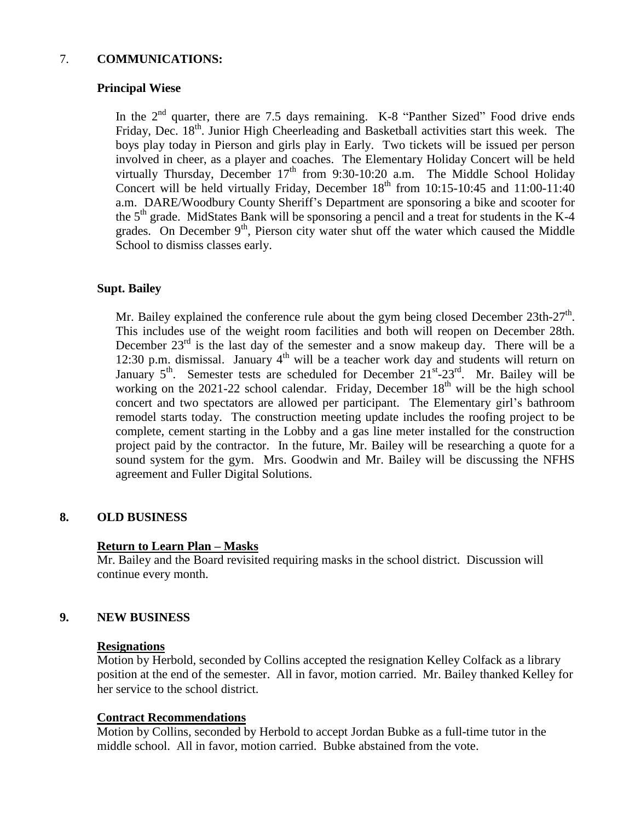### 7. **COMMUNICATIONS:**

### **Principal Wiese**

In the 2<sup>nd</sup> quarter, there are 7.5 days remaining. K-8 "Panther Sized" Food drive ends Friday, Dec. 18<sup>th</sup>. Junior High Cheerleading and Basketball activities start this week. The boys play today in Pierson and girls play in Early. Two tickets will be issued per person involved in cheer, as a player and coaches. The Elementary Holiday Concert will be held virtually Thursday, December  $17<sup>th</sup>$  from 9:30-10:20 a.m. The Middle School Holiday Concert will be held virtually Friday, December  $18<sup>th</sup>$  from 10:15-10:45 and 11:00-11:40 a.m. DARE/Woodbury County Sheriff's Department are sponsoring a bike and scooter for the  $5<sup>th</sup>$  grade. MidStates Bank will be sponsoring a pencil and a treat for students in the K-4 grades. On December  $9<sup>th</sup>$ , Pierson city water shut off the water which caused the Middle School to dismiss classes early.

# **Supt. Bailey**

Mr. Bailey explained the conference rule about the gym being closed December  $23th-27<sup>th</sup>$ . This includes use of the weight room facilities and both will reopen on December 28th. December  $23<sup>rd</sup>$  is the last day of the semester and a snow makeup day. There will be a 12:30 p.m. dismissal. January  $4<sup>th</sup>$  will be a teacher work day and students will return on January  $5^{th}$ . Semester tests are scheduled for December  $21^{st}$ - $23^{rd}$ . Mr. Bailey will be working on the 2021-22 school calendar. Friday, December  $18<sup>th</sup>$  will be the high school concert and two spectators are allowed per participant. The Elementary girl's bathroom remodel starts today. The construction meeting update includes the roofing project to be complete, cement starting in the Lobby and a gas line meter installed for the construction project paid by the contractor. In the future, Mr. Bailey will be researching a quote for a sound system for the gym. Mrs. Goodwin and Mr. Bailey will be discussing the NFHS agreement and Fuller Digital Solutions.

#### **8. OLD BUSINESS**

#### **Return to Learn Plan – Masks**

Mr. Bailey and the Board revisited requiring masks in the school district. Discussion will continue every month.

#### **9. NEW BUSINESS**

#### **Resignations**

Motion by Herbold, seconded by Collins accepted the resignation Kelley Colfack as a library position at the end of the semester. All in favor, motion carried. Mr. Bailey thanked Kelley for her service to the school district.

#### **Contract Recommendations**

Motion by Collins, seconded by Herbold to accept Jordan Bubke as a full-time tutor in the middle school. All in favor, motion carried. Bubke abstained from the vote.